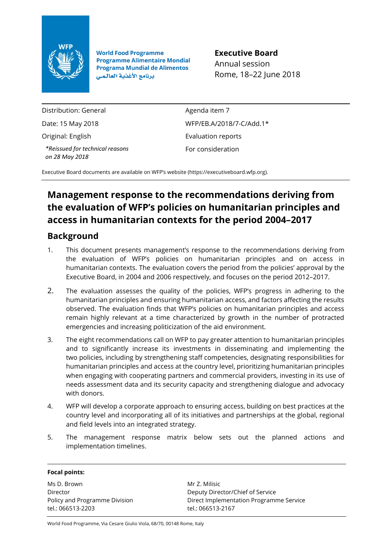

**World Food Programme Programme Alimentaire Mondial Programa Mundial de Alimentos** برنامج الأغذية العالمي

**Executive Board** Annual session Rome, 18–22 June 2018

Distribution: General

Date: 15 May 2018

Original: English

*\*Reissued for technical reasons on 28 May 2018*

Agenda item 7 WFP/EB.A/2018/7-C/Add.1\* Evaluation reports For consideration

Executive Board documents are available on WFP's website [\(https://executiveboard.wfp.org\)](https://executiveboard.wfp.org/).

## **Management response to the recommendations deriving from the evaluation of WFP's policies on humanitarian principles and access in humanitarian contexts for the period 2004–2017**

## **Background**

- 1. This document presents management's response to the recommendations deriving from the evaluation of WFP's policies on humanitarian principles and on access in humanitarian contexts. The evaluation covers the period from the policies' approval by the Executive Board, in 2004 and 2006 respectively, and focuses on the period 2012–2017.
- 2. The evaluation assesses the quality of the policies, WFP's progress in adhering to the humanitarian principles and ensuring humanitarian access, and factors affecting the results observed. The evaluation finds that WFP's policies on humanitarian principles and access remain highly relevant at a time characterized by growth in the number of protracted emergencies and increasing politicization of the aid environment.
- 3. The eight recommendations call on WFP to pay greater attention to humanitarian principles and to significantly increase its investments in disseminating and implementing the two policies, including by strengthening staff competencies, designating responsibilities for humanitarian principles and access at the country level, prioritizing humanitarian principles when engaging with cooperating partners and commercial providers, investing in its use of needs assessment data and its security capacity and strengthening dialogue and advocacy with donors.
- 4. WFP will develop a corporate approach to ensuring access, building on best practices at the country level and incorporating all of its initiatives and partnerships at the global, regional and field levels into an integrated strategy.
- 5. The management response matrix below sets out the planned actions and implementation timelines.

### **Focal points:**

Ms D. Brown Director Policy and Programme Division tel.: 066513-2203

Mr Z. Milisic Deputy Director/Chief of Service Direct Implementation Programme Service tel.: 066513-2167

World Food Programme, Via Cesare Giulio Viola, 68/70, 00148 Rome, Italy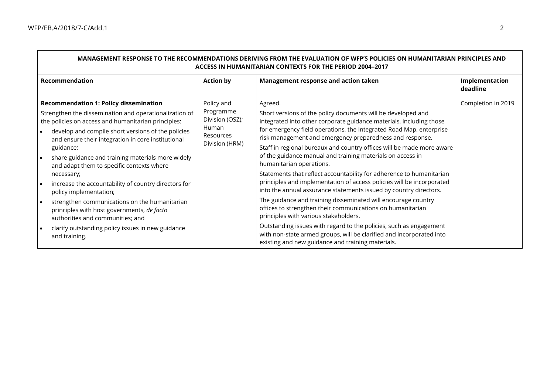| MANAGEMENT RESPONSE TO THE RECOMMENDATIONS DERIVING FROM THE EVALUATION OF WFP'S POLICIES ON HUMANITARIAN PRINCIPLES AND<br><b>ACCESS IN HUMANITARIAN CONTEXTS FOR THE PERIOD 2004-2017</b> |                                                                                                                                 |                                            |                                                                                                                                                                                                 |                                                                   |  |
|---------------------------------------------------------------------------------------------------------------------------------------------------------------------------------------------|---------------------------------------------------------------------------------------------------------------------------------|--------------------------------------------|-------------------------------------------------------------------------------------------------------------------------------------------------------------------------------------------------|-------------------------------------------------------------------|--|
|                                                                                                                                                                                             | Recommendation                                                                                                                  | <b>Action by</b>                           | Management response and action taken                                                                                                                                                            | Implementation<br>deadline                                        |  |
| <b>Recommendation 1: Policy dissemination</b>                                                                                                                                               |                                                                                                                                 | Policy and<br>Programme<br>Division (OSZ); | Agreed.                                                                                                                                                                                         | Completion in 2019                                                |  |
| Strengthen the dissemination and operationalization of<br>the policies on access and humanitarian principles:                                                                               |                                                                                                                                 |                                            | Short versions of the policy documents will be developed and<br>integrated into other corporate guidance materials, including those                                                             |                                                                   |  |
| $\bullet$                                                                                                                                                                                   | develop and compile short versions of the policies<br>and ensure their integration in core institutional                        | Human<br>Resources                         | for emergency field operations, the Integrated Road Map, enterprise<br>risk management and emergency preparedness and response.                                                                 |                                                                   |  |
|                                                                                                                                                                                             | guidance;                                                                                                                       | Division (HRM)                             | Staff in regional bureaux and country offices will be made more aware<br>of the guidance manual and training materials on access in                                                             |                                                                   |  |
| • ا                                                                                                                                                                                         | share guidance and training materials more widely<br>and adapt them to specific contexts where                                  |                                            | humanitarian operations.                                                                                                                                                                        |                                                                   |  |
|                                                                                                                                                                                             | necessary;                                                                                                                      |                                            | Statements that reflect accountability for adherence to humanitarian<br>principles and implementation of access policies will be incorporated                                                   |                                                                   |  |
|                                                                                                                                                                                             | increase the accountability of country directors for<br>policy implementation;                                                  |                                            |                                                                                                                                                                                                 | into the annual assurance statements issued by country directors. |  |
| ∣ •                                                                                                                                                                                         | strengthen communications on the humanitarian<br>principles with host governments, de facto<br>authorities and communities; and |                                            | The guidance and training disseminated will encourage country<br>offices to strengthen their communications on humanitarian<br>principles with various stakeholders.                            |                                                                   |  |
|                                                                                                                                                                                             | clarify outstanding policy issues in new guidance<br>and training.                                                              |                                            | Outstanding issues with regard to the policies, such as engagement<br>with non-state armed groups, will be clarified and incorporated into<br>existing and new guidance and training materials. |                                                                   |  |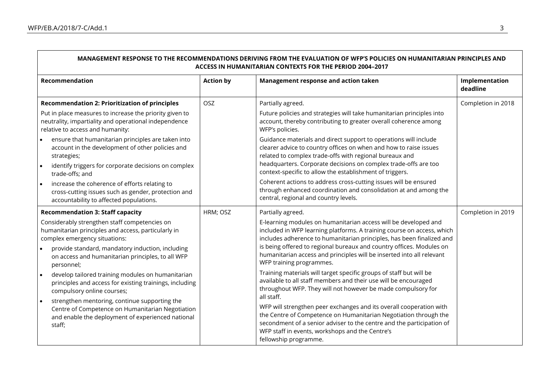| MANAGEMENT RESPONSE TO THE RECOMMENDATIONS DERIVING FROM THE EVALUATION OF WFP'S POLICIES ON HUMANITARIAN PRINCIPLES AND<br>ACCESS IN HUMANITARIAN CONTEXTS FOR THE PERIOD 2004-2017                                                                                                                                                                                                                                                                                                                                                                                                                                                                |                  |                                                                                                                                                                                                                                                                                                                                                                                                                                                                                                                                                                                                                                                                                                                                                                                                                                                                                                                                              |                            |
|-----------------------------------------------------------------------------------------------------------------------------------------------------------------------------------------------------------------------------------------------------------------------------------------------------------------------------------------------------------------------------------------------------------------------------------------------------------------------------------------------------------------------------------------------------------------------------------------------------------------------------------------------------|------------------|----------------------------------------------------------------------------------------------------------------------------------------------------------------------------------------------------------------------------------------------------------------------------------------------------------------------------------------------------------------------------------------------------------------------------------------------------------------------------------------------------------------------------------------------------------------------------------------------------------------------------------------------------------------------------------------------------------------------------------------------------------------------------------------------------------------------------------------------------------------------------------------------------------------------------------------------|----------------------------|
| Recommendation                                                                                                                                                                                                                                                                                                                                                                                                                                                                                                                                                                                                                                      | <b>Action by</b> | Management response and action taken                                                                                                                                                                                                                                                                                                                                                                                                                                                                                                                                                                                                                                                                                                                                                                                                                                                                                                         | Implementation<br>deadline |
| <b>Recommendation 2: Prioritization of principles</b><br>Put in place measures to increase the priority given to<br>neutrality, impartiality and operational independence<br>relative to access and humanity:<br>ensure that humanitarian principles are taken into<br>account in the development of other policies and<br>strategies;<br>identify triggers for corporate decisions on complex<br>trade-offs; and<br>increase the coherence of efforts relating to<br>cross-cutting issues such as gender, protection and<br>accountability to affected populations.                                                                                | OSZ              | Partially agreed.<br>Future policies and strategies will take humanitarian principles into<br>account, thereby contributing to greater overall coherence among<br>WFP's policies.<br>Guidance materials and direct support to operations will include<br>clearer advice to country offices on when and how to raise issues<br>related to complex trade-offs with regional bureaux and<br>headquarters. Corporate decisions on complex trade-offs are too<br>context-specific to allow the establishment of triggers.<br>Coherent actions to address cross-cutting issues will be ensured<br>through enhanced coordination and consolidation at and among the<br>central, regional and country levels.                                                                                                                                                                                                                                        | Completion in 2018         |
| <b>Recommendation 3: Staff capacity</b><br>Considerably strengthen staff competencies on<br>humanitarian principles and access, particularly in<br>complex emergency situations:<br>provide standard, mandatory induction, including<br>on access and humanitarian principles, to all WFP<br>personnel;<br>develop tailored training modules on humanitarian<br>$\bullet$<br>principles and access for existing trainings, including<br>compulsory online courses;<br>strengthen mentoring, continue supporting the<br>$\bullet$<br>Centre of Competence on Humanitarian Negotiation<br>and enable the deployment of experienced national<br>staff; | HRM; OSZ         | Partially agreed.<br>E-learning modules on humanitarian access will be developed and<br>included in WFP learning platforms. A training course on access, which<br>includes adherence to humanitarian principles, has been finalized and<br>is being offered to regional bureaux and country offices. Modules on<br>humanitarian access and principles will be inserted into all relevant<br>WFP training programmes.<br>Training materials will target specific groups of staff but will be<br>available to all staff members and their use will be encouraged<br>throughout WFP. They will not however be made compulsory for<br>all staff.<br>WFP will strengthen peer exchanges and its overall cooperation with<br>the Centre of Competence on Humanitarian Negotiation through the<br>secondment of a senior adviser to the centre and the participation of<br>WFP staff in events, workshops and the Centre's<br>fellowship programme. | Completion in 2019         |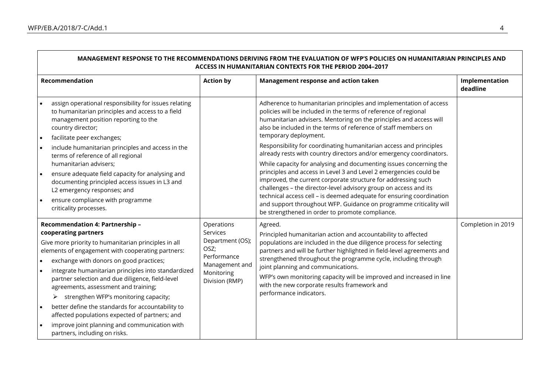| MANAGEMENT RESPONSE TO THE RECOMMENDATIONS DERIVING FROM THE EVALUATION OF WFP'S POLICIES ON HUMANITARIAN PRINCIPLES AND<br>ACCESS IN HUMANITARIAN CONTEXTS FOR THE PERIOD 2004-2017                                                                                                                                                                                                                                                                                                                                                                                                                                   |                                                                                                                     |                                                                                                                                                                                                                                                                                                                                                                                                                                                                                      |                            |  |
|------------------------------------------------------------------------------------------------------------------------------------------------------------------------------------------------------------------------------------------------------------------------------------------------------------------------------------------------------------------------------------------------------------------------------------------------------------------------------------------------------------------------------------------------------------------------------------------------------------------------|---------------------------------------------------------------------------------------------------------------------|--------------------------------------------------------------------------------------------------------------------------------------------------------------------------------------------------------------------------------------------------------------------------------------------------------------------------------------------------------------------------------------------------------------------------------------------------------------------------------------|----------------------------|--|
| Recommendation                                                                                                                                                                                                                                                                                                                                                                                                                                                                                                                                                                                                         | <b>Action by</b>                                                                                                    | Management response and action taken                                                                                                                                                                                                                                                                                                                                                                                                                                                 | Implementation<br>deadline |  |
| assign operational responsibility for issues relating<br>to humanitarian principles and access to a field<br>management position reporting to the<br>country director;<br>facilitate peer exchanges;<br>$\bullet$                                                                                                                                                                                                                                                                                                                                                                                                      |                                                                                                                     | Adherence to humanitarian principles and implementation of access<br>policies will be included in the terms of reference of regional<br>humanitarian advisers. Mentoring on the principles and access will<br>also be included in the terms of reference of staff members on<br>temporary deployment.                                                                                                                                                                                |                            |  |
| include humanitarian principles and access in the<br>terms of reference of all regional<br>humanitarian advisers;<br>ensure adequate field capacity for analysing and<br>documenting principled access issues in L3 and                                                                                                                                                                                                                                                                                                                                                                                                |                                                                                                                     | Responsibility for coordinating humanitarian access and principles<br>already rests with country directors and/or emergency coordinators.<br>While capacity for analysing and documenting issues concerning the<br>principles and access in Level 3 and Level 2 emergencies could be<br>improved, the current corporate structure for addressing such                                                                                                                                |                            |  |
| L2 emergency responses; and<br>ensure compliance with programme<br>criticality processes.                                                                                                                                                                                                                                                                                                                                                                                                                                                                                                                              |                                                                                                                     | challenges - the director-level advisory group on access and its<br>technical access cell - is deemed adequate for ensuring coordination<br>and support throughout WFP. Guidance on programme criticality will<br>be strengthened in order to promote compliance.                                                                                                                                                                                                                    |                            |  |
| Recommendation 4: Partnership -<br>cooperating partners<br>Give more priority to humanitarian principles in all<br>elements of engagement with cooperating partners:<br>exchange with donors on good practices;<br>integrate humanitarian principles into standardized<br>$\bullet$<br>partner selection and due diligence, field-level<br>agreements, assessment and training;<br>strengthen WFP's monitoring capacity;<br>➤<br>better define the standards for accountability to<br>affected populations expected of partners; and<br>improve joint planning and communication with<br>partners, including on risks. | Operations<br>Services<br>Department (OS);<br>OSZ;<br>Performance<br>Management and<br>Monitoring<br>Division (RMP) | Agreed.<br>Principled humanitarian action and accountability to affected<br>populations are included in the due diligence process for selecting<br>partners and will be further highlighted in field-level agreements and<br>strengthened throughout the programme cycle, including through<br>joint planning and communications.<br>WFP's own monitoring capacity will be improved and increased in line<br>with the new corporate results framework and<br>performance indicators. | Completion in 2019         |  |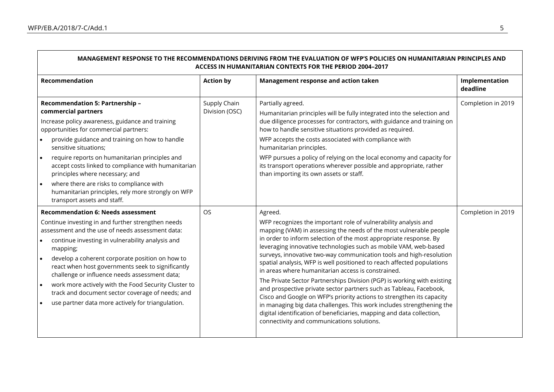Г

| MANAGEMENT RESPONSE TO THE RECOMMENDATIONS DERIVING FROM THE EVALUATION OF WFP'S POLICIES ON HUMANITARIAN PRINCIPLES AND<br>ACCESS IN HUMANITARIAN CONTEXTS FOR THE PERIOD 2004-2017                                                                                                                                                                                                                                                                                                                                                          |                                |                                                                                                                                                                                                                                                                                                                                                                                                                                                                                                                                                                                                                                                                                                                                                                                                                                                                                                                            |                            |
|-----------------------------------------------------------------------------------------------------------------------------------------------------------------------------------------------------------------------------------------------------------------------------------------------------------------------------------------------------------------------------------------------------------------------------------------------------------------------------------------------------------------------------------------------|--------------------------------|----------------------------------------------------------------------------------------------------------------------------------------------------------------------------------------------------------------------------------------------------------------------------------------------------------------------------------------------------------------------------------------------------------------------------------------------------------------------------------------------------------------------------------------------------------------------------------------------------------------------------------------------------------------------------------------------------------------------------------------------------------------------------------------------------------------------------------------------------------------------------------------------------------------------------|----------------------------|
| Recommendation                                                                                                                                                                                                                                                                                                                                                                                                                                                                                                                                | <b>Action by</b>               | Management response and action taken                                                                                                                                                                                                                                                                                                                                                                                                                                                                                                                                                                                                                                                                                                                                                                                                                                                                                       | Implementation<br>deadline |
| Recommendation 5: Partnership -<br>commercial partners<br>Increase policy awareness, guidance and training<br>opportunities for commercial partners:<br>provide guidance and training on how to handle<br>sensitive situations;<br>require reports on humanitarian principles and<br>$\bullet$<br>accept costs linked to compliance with humanitarian<br>principles where necessary; and<br>where there are risks to compliance with<br>humanitarian principles, rely more strongly on WFP<br>transport assets and staff.                     | Supply Chain<br>Division (OSC) | Partially agreed.<br>Humanitarian principles will be fully integrated into the selection and<br>due diligence processes for contractors, with guidance and training on<br>how to handle sensitive situations provided as required.<br>WFP accepts the costs associated with compliance with<br>humanitarian principles.<br>WFP pursues a policy of relying on the local economy and capacity for<br>its transport operations wherever possible and appropriate, rather<br>than importing its own assets or staff.                                                                                                                                                                                                                                                                                                                                                                                                          | Completion in 2019         |
| <b>Recommendation 6: Needs assessment</b><br>Continue investing in and further strengthen needs<br>assessment and the use of needs assessment data:<br>continue investing in vulnerability analysis and<br>mapping;<br>develop a coherent corporate position on how to<br>react when host governments seek to significantly<br>challenge or influence needs assessment data;<br>work more actively with the Food Security Cluster to<br>track and document sector coverage of needs; and<br>use partner data more actively for triangulation. | <b>OS</b>                      | Agreed.<br>WFP recognizes the important role of vulnerability analysis and<br>mapping (VAM) in assessing the needs of the most vulnerable people<br>in order to inform selection of the most appropriate response. By<br>leveraging innovative technologies such as mobile VAM, web-based<br>surveys, innovative two-way communication tools and high-resolution<br>spatial analysis, WFP is well positioned to reach affected populations<br>in areas where humanitarian access is constrained.<br>The Private Sector Partnerships Division (PGP) is working with existing<br>and prospective private sector partners such as Tableau, Facebook,<br>Cisco and Google on WFP's priority actions to strengthen its capacity<br>in managing big data challenges. This work includes strengthening the<br>digital identification of beneficiaries, mapping and data collection,<br>connectivity and communications solutions. | Completion in 2019         |

┑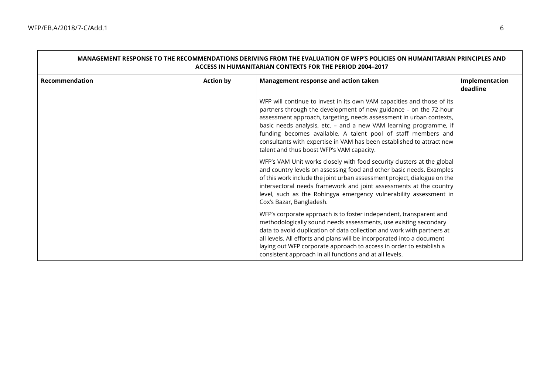| MANAGEMENT RESPONSE TO THE RECOMMENDATIONS DERIVING FROM THE EVALUATION OF WFP'S POLICIES ON HUMANITARIAN PRINCIPLES AND<br><b>ACCESS IN HUMANITARIAN CONTEXTS FOR THE PERIOD 2004-2017</b> |                  |                                                                                                                                                                                                                                                                                                                                                                                                                                                                                                                                                                                                                                                                                                                                                                                                                                                                                     |                            |  |
|---------------------------------------------------------------------------------------------------------------------------------------------------------------------------------------------|------------------|-------------------------------------------------------------------------------------------------------------------------------------------------------------------------------------------------------------------------------------------------------------------------------------------------------------------------------------------------------------------------------------------------------------------------------------------------------------------------------------------------------------------------------------------------------------------------------------------------------------------------------------------------------------------------------------------------------------------------------------------------------------------------------------------------------------------------------------------------------------------------------------|----------------------------|--|
| Recommendation                                                                                                                                                                              | <b>Action by</b> | Management response and action taken                                                                                                                                                                                                                                                                                                                                                                                                                                                                                                                                                                                                                                                                                                                                                                                                                                                | Implementation<br>deadline |  |
|                                                                                                                                                                                             |                  | WFP will continue to invest in its own VAM capacities and those of its<br>partners through the development of new guidance - on the 72-hour<br>assessment approach, targeting, needs assessment in urban contexts,<br>basic needs analysis, etc. - and a new VAM learning programme, if<br>funding becomes available. A talent pool of staff members and<br>consultants with expertise in VAM has been established to attract new<br>talent and thus boost WFP's VAM capacity.<br>WFP's VAM Unit works closely with food security clusters at the global<br>and country levels on assessing food and other basic needs. Examples<br>of this work include the joint urban assessment project, dialogue on the<br>intersectoral needs framework and joint assessments at the country<br>level, such as the Rohingya emergency vulnerability assessment in<br>Cox's Bazar, Bangladesh. |                            |  |
|                                                                                                                                                                                             |                  | WFP's corporate approach is to foster independent, transparent and<br>methodologically sound needs assessments, use existing secondary<br>data to avoid duplication of data collection and work with partners at<br>all levels. All efforts and plans will be incorporated into a document<br>laying out WFP corporate approach to access in order to establish a<br>consistent approach in all functions and at all levels.                                                                                                                                                                                                                                                                                                                                                                                                                                                        |                            |  |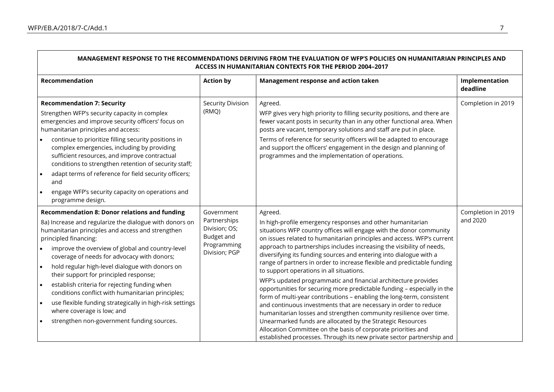| MANAGEMENT RESPONSE TO THE RECOMMENDATIONS DERIVING FROM THE EVALUATION OF WFP'S POLICIES ON HUMANITARIAN PRINCIPLES AND<br>ACCESS IN HUMANITARIAN CONTEXTS FOR THE PERIOD 2004-2017                                                                                                                                                                                                                                                                                                                                                                                                                                                                                                            |                                                                                           |                                                                                                                                                                                                                                                                                                                                                                                                                                                                                                                                                                                                                                                                                                                                                                                                                                                                                                                                                                                                                                                                      |                                |
|-------------------------------------------------------------------------------------------------------------------------------------------------------------------------------------------------------------------------------------------------------------------------------------------------------------------------------------------------------------------------------------------------------------------------------------------------------------------------------------------------------------------------------------------------------------------------------------------------------------------------------------------------------------------------------------------------|-------------------------------------------------------------------------------------------|----------------------------------------------------------------------------------------------------------------------------------------------------------------------------------------------------------------------------------------------------------------------------------------------------------------------------------------------------------------------------------------------------------------------------------------------------------------------------------------------------------------------------------------------------------------------------------------------------------------------------------------------------------------------------------------------------------------------------------------------------------------------------------------------------------------------------------------------------------------------------------------------------------------------------------------------------------------------------------------------------------------------------------------------------------------------|--------------------------------|
| Recommendation                                                                                                                                                                                                                                                                                                                                                                                                                                                                                                                                                                                                                                                                                  | <b>Action by</b>                                                                          | Management response and action taken                                                                                                                                                                                                                                                                                                                                                                                                                                                                                                                                                                                                                                                                                                                                                                                                                                                                                                                                                                                                                                 | Implementation<br>deadline     |
| <b>Recommendation 7: Security</b><br>Strengthen WFP's security capacity in complex<br>emergencies and improve security officers' focus on<br>humanitarian principles and access:<br>continue to prioritize filling security positions in<br>complex emergencies, including by providing<br>sufficient resources, and improve contractual<br>conditions to strengthen retention of security staff;<br>adapt terms of reference for field security officers;<br>$\bullet$<br>and<br>engage WFP's security capacity on operations and<br>$\bullet$<br>programme design.                                                                                                                            | Security Division<br>(RMQ)                                                                | Agreed.<br>WFP gives very high priority to filling security positions, and there are<br>fewer vacant posts in security than in any other functional area. When<br>posts are vacant, temporary solutions and staff are put in place.<br>Terms of reference for security officers will be adapted to encourage<br>and support the officers' engagement in the design and planning of<br>programmes and the implementation of operations.                                                                                                                                                                                                                                                                                                                                                                                                                                                                                                                                                                                                                               | Completion in 2019             |
| <b>Recommendation 8: Donor relations and funding</b><br>8a) Increase and regularize the dialogue with donors on<br>humanitarian principles and access and strengthen<br>principled financing:<br>improve the overview of global and country-level<br>coverage of needs for advocacy with donors;<br>hold regular high-level dialogue with donors on<br>$\bullet$<br>their support for principled response;<br>establish criteria for rejecting funding when<br>$\bullet$<br>conditions conflict with humanitarian principles;<br>use flexible funding strategically in high-risk settings<br>$\bullet$<br>where coverage is low; and<br>strengthen non-government funding sources.<br>$\bullet$ | Government<br>Partnerships<br>Division; OS;<br>Budget and<br>Programming<br>Division; PGP | Agreed.<br>In high-profile emergency responses and other humanitarian<br>situations WFP country offices will engage with the donor community<br>on issues related to humanitarian principles and access. WFP's current<br>approach to partnerships includes increasing the visibility of needs,<br>diversifying its funding sources and entering into dialogue with a<br>range of partners in order to increase flexible and predictable funding<br>to support operations in all situations.<br>WFP's updated programmatic and financial architecture provides<br>opportunities for securing more predictable funding - especially in the<br>form of multi-year contributions - enabling the long-term, consistent<br>and continuous investments that are necessary in order to reduce<br>humanitarian losses and strengthen community resilience over time.<br>Unearmarked funds are allocated by the Strategic Resources<br>Allocation Committee on the basis of corporate priorities and<br>established processes. Through its new private sector partnership and | Completion in 2019<br>and 2020 |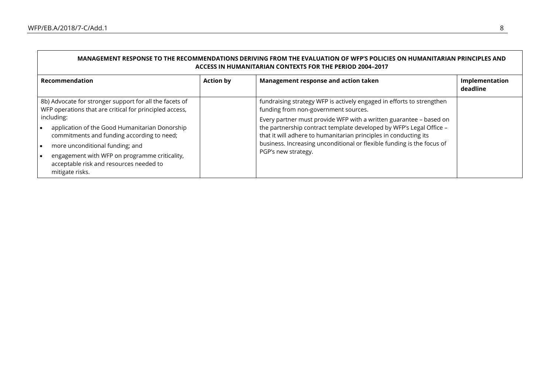Г

| MANAGEMENT RESPONSE TO THE RECOMMENDATIONS DERIVING FROM THE EVALUATION OF WFP'S POLICIES ON HUMANITARIAN PRINCIPLES AND<br><b>ACCESS IN HUMANITARIAN CONTEXTS FOR THE PERIOD 2004-2017</b>                                                                  |                  |                                                                                                                                                                                                                                                                                                                |                            |
|--------------------------------------------------------------------------------------------------------------------------------------------------------------------------------------------------------------------------------------------------------------|------------------|----------------------------------------------------------------------------------------------------------------------------------------------------------------------------------------------------------------------------------------------------------------------------------------------------------------|----------------------------|
| <b>Recommendation</b>                                                                                                                                                                                                                                        | <b>Action by</b> | Management response and action taken                                                                                                                                                                                                                                                                           | Implementation<br>deadline |
| 8b) Advocate for stronger support for all the facets of<br>WFP operations that are critical for principled access,                                                                                                                                           |                  | fundraising strategy WFP is actively engaged in efforts to strengthen<br>funding from non-government sources.                                                                                                                                                                                                  |                            |
| including:<br>application of the Good Humanitarian Donorship<br>commitments and funding according to need;<br>more unconditional funding; and<br>engagement with WFP on programme criticality,<br>acceptable risk and resources needed to<br>mitigate risks. |                  | Every partner must provide WFP with a written guarantee - based on<br>the partnership contract template developed by WFP's Legal Office -<br>that it will adhere to humanitarian principles in conducting its<br>business. Increasing unconditional or flexible funding is the focus of<br>PGP's new strategy. |                            |

┑